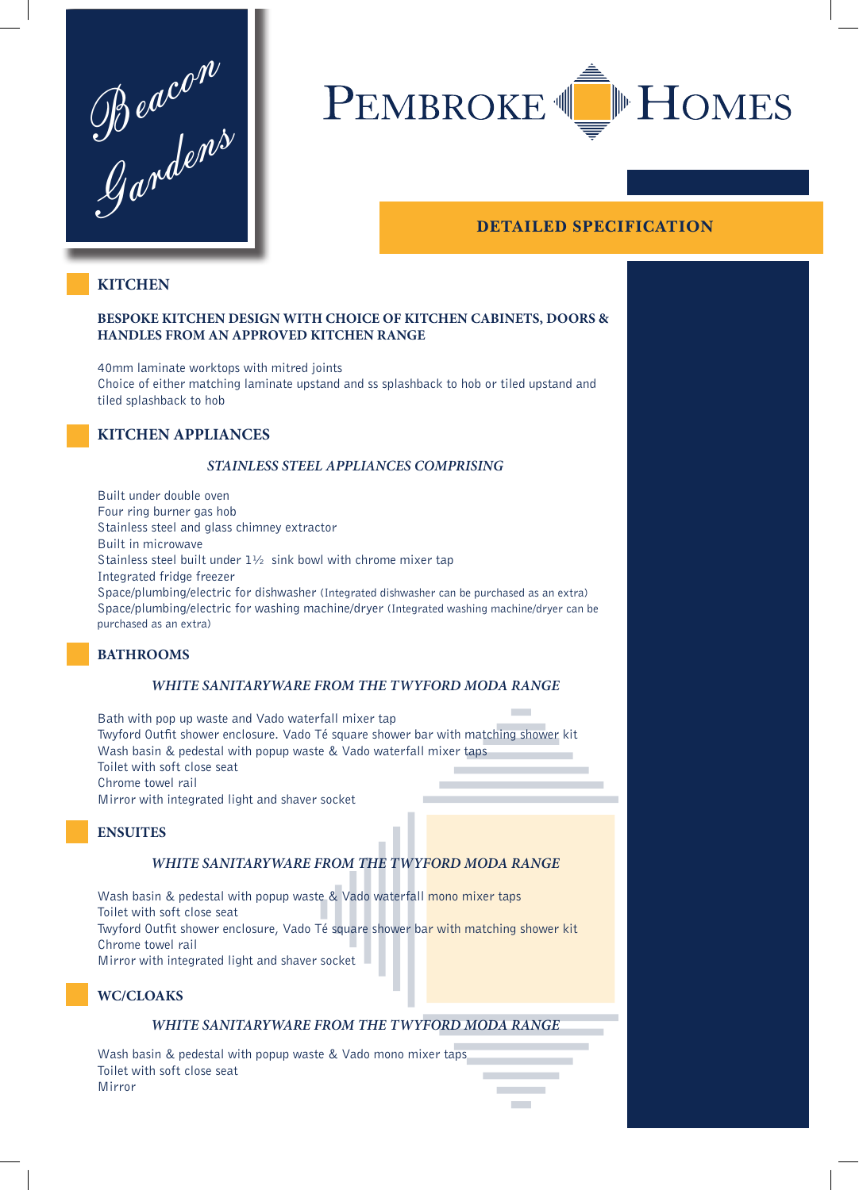$\oint \partial \omega c^{\rho}$ Gardens



# **DETAILED SPECIFICATION**

# **KITCHEN**

#### **BESPOKE KITCHEN DESIGN WITH CHOICE OF KITCHEN CABINETS, DOORS & HANDLES FROM AN APPROVED KITCHEN RANGE**

40mm laminate worktops with mitred joints Choice of either matching laminate upstand and ss splashback to hob or tiled upstand and tiled splashback to hob

## **KITCHEN APPLIANCES**

#### *STAINLESS STEEL APPLIANCES COMPRISING*

Built under double oven Four ring burner gas hob Stainless steel and glass chimney extractor Built in microwave Stainless steel built under 1½ sink bowl with chrome mixer tap Integrated fridge freezer Space/plumbing/electric for dishwasher (Integrated dishwasher can be purchased as an extra) Space/plumbing/electric for washing machine/dryer (Integrated washing machine/dryer can be purchased as an extra)

# **BATHROOMS**

#### *WHITE SANITARYWARE FROM THE TWYFORD MODA RANGE*

**Contract** Bath with pop up waste and Vado waterfall mixer tap Twyford Outfit shower enclosure. Vado Té square shower bar with matching shower kit Wash basin & pedestal with popup waste & Vado waterfall mixer taps Toilet with soft close seat Chrome towel rail Mirror with integrated light and shaver socket

#### **ENSUITES**

# *WHITE SANITARYWARE FROM THE TWYFORD MODA RANGE*

Wash basin & pedestal with popup waste & Vado waterfall mono mixer taps Toilet with soft close seat Twyford Outfit shower enclosure, Vado Té square shower bar with matching shower kit Chrome towel rail Mirror with integrated light and shaver socket

# **WC/CLOAKS**

#### *WHITE SANITARYWARE FROM THE TWYFORD MODA RANGE*

Wash basin & pedestal with popup waste & Vado mono mixer taps Toilet with soft close seat Mirror